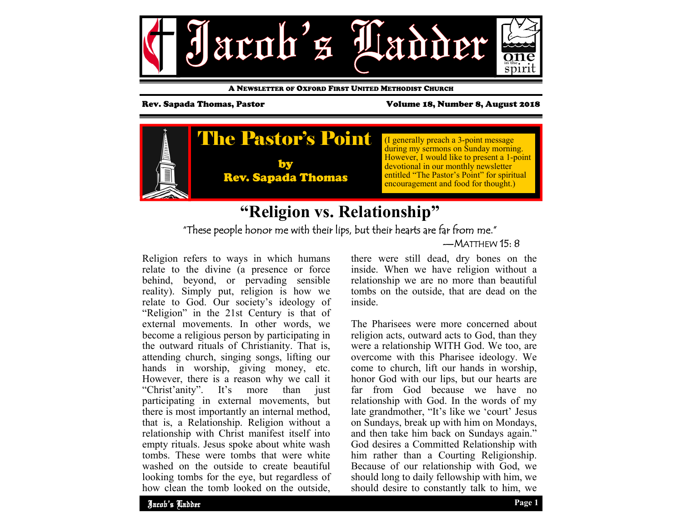

A NEWSLETTER OF OXFORD FIRST UNITED METHODIST CHURCH

Rev. Sapada Thomas, Pastor Volume 18, Number 8, August 2018



### **"Religion vs. Relationship"** "These people honor me with their lips, but their hearts are far from me."  $-MATTHFW$  15 $\cdot$  8

Religion refers to ways in which humans relate to the divine (a presence or force behind, beyond, or pervading sensible reality). Simply put, religion is how we relate to God. Our society's ideology of "Religion" in the 21st Century is that of external movements. In other words, we become a religious person by participating in the outward rituals of Christianity. That is, attending church, singing songs, lifting our hands in worship, giving money, etc. However, there is a reason why we call it "Christ'anity". It's more than just participating in external movements, but there is most importantly an internal method, that is, a Relationship. Religion without a relationship with Christ manifest itself into empty rituals. Jesus spoke about white wash tombs. These were tombs that were white washed on the outside to create beautiful looking tombs for the eye, but regardless of how clean the tomb looked on the outside,

there were still dead, dry bones on the inside. When we have religion without a relationship we are no more than beautiful tombs on the outside, that are dead on the inside.

The Pharisees were more concerned about religion acts, outward acts to God, than they were a relationship WITH God. We too, are overcome with this Pharisee ideology. We come to church, lift our hands in worship, honor God with our lips, but our hearts are far from God because we have no relationship with God. In the words of my late grandmother, "It's like we 'court' Jesus on Sundays, break up with him on Mondays, and then take him back on Sundays again." God desires a Committed Relationship with him rather than a Courting Religionship. Because of our relationship with God, we should long to daily fellowship with him, we should desire to constantly talk to him, we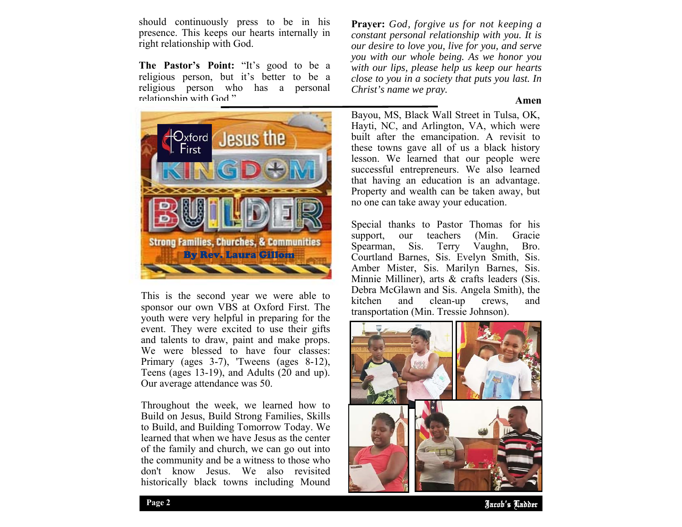should continuously press to be in his presence. This keeps our hearts internally in right relationship with God.

**The Pastor's Point:** "It's good to be a religious person, but it's better to be a religious person who has a personal relationship with God."



This is the second year we were able to sponsor our own VBS at Oxford First. The youth were very helpful in preparing for the event. They were excited to use their gifts and talents to draw, paint and make props. We were blessed to have four classes: Primary (ages 3-7), 'Tweens (ages 8-12), Teens (ages 13-19), and Adults (20 and up). Our average attendance was 50.

Throughout the week, we learned how to Build on Jesus, Build Strong Families, Skills to Build, and Building Tomorrow Today. We learned that when we have Jesus as the center of the family and church, we can go out into the community and be a witness to those who don't know Jesus. We also revisited historically black towns including Mound

**Prayer:** *God, forgive us for not keeping a constant personal relationship with you. It is our desire to love you, live for you, and serve you with our whole being. As we honor you with our lips, please help us keep our hearts close to you in a society that puts you last. In Christ's name we pray.* 

#### **Amen**

Bayou, MS, Black Wall Street in Tulsa, OK, Hayti, NC, and Arlington, VA, which were built after the emancipation. A revisit to these towns gave all of us a black history lesson. We learned that our people were successful entrepreneurs. We also learned that having an education is an advantage. Property and wealth can be taken away, but no one can take away your education.

Special thanks to Pastor Thomas for his support, our teachers (Min. Gracie<br>Spearman, Sis. Terry Vaughn, Bro. Sis. Terry Vaughn, Bro. Courtland Barnes, Sis. Evelyn Smith, Sis. Amber Mister, Sis. Marilyn Barnes, Sis. Minnie Milliner), arts & crafts leaders (Sis. Debra McGlawn and Sis. Angela Smith), the kitchen and clean-up crews, and transportation (Min. Tressie Johnson).



Jacob's Ladder **Page 2**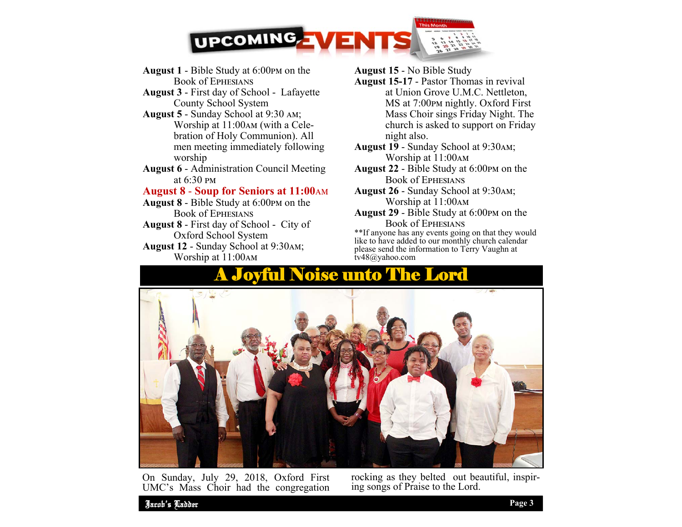

- August 1 Bible Study at 6:00pm on the Book of Ephesians
- **August 3**  First day of School Lafayette County School System
- August 5 Sunday School at 9:30 AM; Worship at 11:00 AM (with a Cele bration of Holy Communion). All men meeting immediately following worship
- **August 6**  Administration Council Meeting at  $6:30 \text{ }$  PM

#### **August 8 - Soup for Seniors at 11:00** AM

- August 8 Bible Study at 6:00<sub>PM</sub> on the Book of Ephesians
- **August 8**  First day of School City of Oxford School System
- August 12 Sunday School at 9:30AM; Worship at 11:00АМ

#### **August 15** - No Bible Study

- **August 15-17**  Pastor Thomas in revival at Union Grove U.M.C. Nettleton, MS at 7:00pm nightly. Oxford First Mass Choir sings Friday Night. The church is asked to support on Friday night also.
- August 19 Sunday School at 9:30AM; Worship at 11:00Ам
- **August 22**  Bible Study at 6:00ඉආ on the Book of Ephesians
- August 26 Sunday School at 9:30AM; Worship at 11:00АМ
- August 29 Bible Study at 6:00<sub>PM</sub> on the Book of Ephesians

 \*\*If anyone has any events going on that they would like to have added to our monthly church calendar please send the information to Terry Vaughn at tv48@yahoo.com

## A Joyful Noise unto The Lord



On Sunday, July 29, 2018, Oxford First UMC's Mass Choir had the congregation

rocking as they belted out beautiful, inspiring songs of Praise to the Lord.